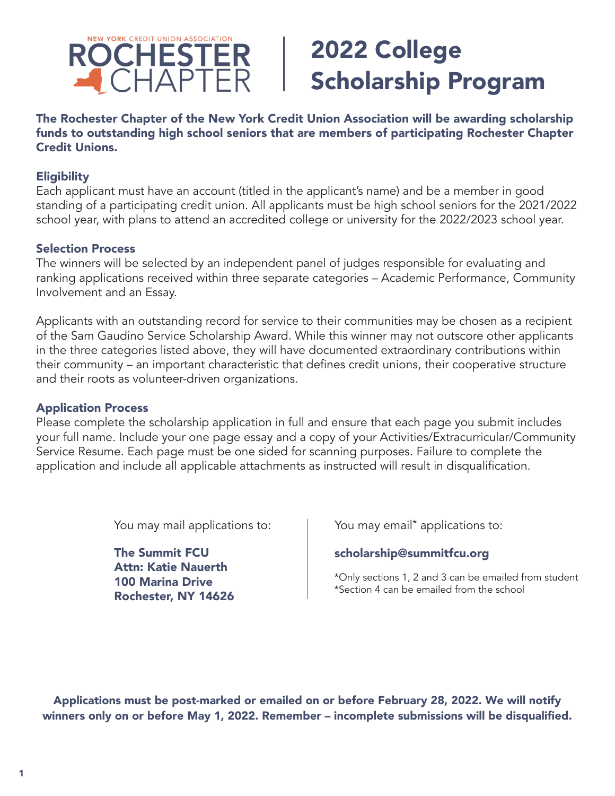

# 2022 College Scholarship Program

The Rochester Chapter of the New York Credit Union Association will be awarding scholarship funds to outstanding high school seniors that are members of participating Rochester Chapter Credit Unions.

#### **Eligibility**

Each applicant must have an account (titled in the applicant's name) and be a member in good standing of a participating credit union. All applicants must be high school seniors for the 2021/2022 school year, with plans to attend an accredited college or university for the 2022/2023 school year.

#### Selection Process

The winners will be selected by an independent panel of judges responsible for evaluating and ranking applications received within three separate categories – Academic Performance, Community Involvement and an Essay.

Applicants with an outstanding record for service to their communities may be chosen as a recipient of the Sam Gaudino Service Scholarship Award. While this winner may not outscore other applicants in the three categories listed above, they will have documented extraordinary contributions within their community – an important characteristic that defines credit unions, their cooperative structure and their roots as volunteer-driven organizations.

#### Application Process

Please complete the scholarship application in full and ensure that each page you submit includes your full name. Include your one page essay and a copy of your Activities/Extracurricular/Community Service Resume. Each page must be one sided for scanning purposes. Failure to complete the application and include all applicable attachments as instructed will result in disqualification.

You may mail applications to:

The Summit FCU Attn: Katie Nauerth 100 Marina Drive Rochester, NY 14626 You may email<sup>\*</sup> applications to:

## scholarship@summitfcu.org

\*Only sections 1, 2 and 3 can be emailed from student \*Section 4 can be emailed from the school

Applications must be post-marked or emailed on or before February 28, 2022. We will notify winners only on or before May 1, 2022. Remember – incomplete submissions will be disqualified.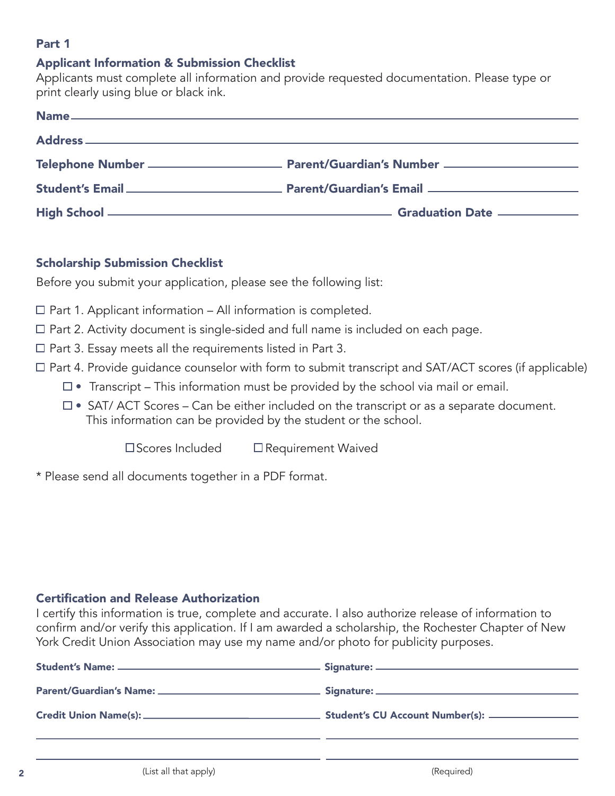# Part 1

#### Applicant Information & Submission Checklist

Applicants must complete all information and provide requested documentation. Please type or print clearly using blue or black ink.

## Scholarship Submission Checklist

Before you submit your application, please see the following list:

- $\Box$  Part 1. Applicant information All information is completed.
- Part 2. Activity document is single-sided and full name is included on each page.
- $\Box$  Part 3. Essay meets all the requirements listed in Part 3.
- $\Box$  Part 4. Provide quidance counselor with form to submit transcript and SAT/ACT scores (if applicable)
	- $\Box$  Transcript This information must be provided by the school via mail or email.
	- $\square$  SAT/ ACT Scores Can be either included on the transcript or as a separate document. This information can be provided by the student or the school.

 $\square$  Scores Included  $\square$  Requirement Waived

\* Please send all documents together in a PDF format.

#### Certification and Release Authorization

I certify this information is true, complete and accurate. I also authorize release of information to confirm and/or verify this application. If I am awarded a scholarship, the Rochester Chapter of New York Credit Union Association may use my name and/or photo for publicity purposes.

| Student's CU Account Number(s): _______________ |
|-------------------------------------------------|
|                                                 |
|                                                 |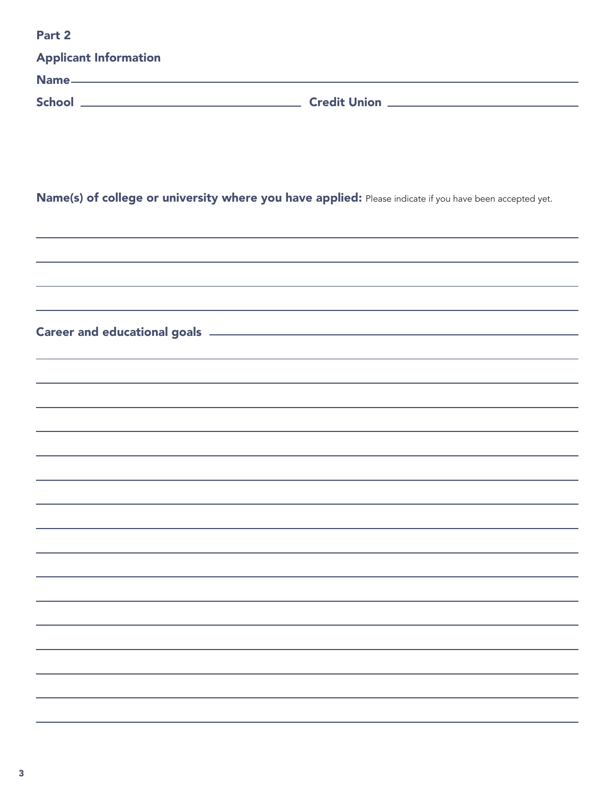| Part <sub>2</sub>                                                                                       |                                                                                                                                                                       |  |
|---------------------------------------------------------------------------------------------------------|-----------------------------------------------------------------------------------------------------------------------------------------------------------------------|--|
| <b>Applicant Information</b>                                                                            |                                                                                                                                                                       |  |
|                                                                                                         |                                                                                                                                                                       |  |
|                                                                                                         |                                                                                                                                                                       |  |
|                                                                                                         |                                                                                                                                                                       |  |
|                                                                                                         |                                                                                                                                                                       |  |
| Name(s) of college or university where you have applied: Please indicate if you have been accepted yet. |                                                                                                                                                                       |  |
|                                                                                                         |                                                                                                                                                                       |  |
|                                                                                                         | ,我们也不能会在这里,我们的人们就会不能会在这里,我们也不能会不能会不能会不能会不能会不能会不能会。""我们的人们,我们也不能会不能会不能会不能会不能会不能会不                                                                                      |  |
|                                                                                                         | ,我们也不能会有什么。""我们的人,我们也不能会有什么?""我们的人,我们也不能会有什么?""我们的人,我们也不能会有什么?""我们的人,我们也不能会有什么?""                                                                                     |  |
|                                                                                                         |                                                                                                                                                                       |  |
|                                                                                                         | ,我们也不能会有什么。""我们的人,我们也不能会有什么?""我们的人,我们也不能会有什么?""我们的人,我们也不能会有什么?""我们的人,我们也不能会有什么?""                                                                                     |  |
|                                                                                                         | ,我们也不能会有什么。""我们的人,我们也不能会有什么?""我们的人,我们也不能会有什么?""我们的人,我们也不能会有什么?""我们的人,我们也不能会有什么?""<br>,我们也不会有什么。""我们的人,我们也不会有什么?""我们的人,我们也不会有什么?""我们的人,我们也不会有什么?""我们的人,我们也不会有什么?""我们的人 |  |
|                                                                                                         | ,我们也不会有什么。""我们的人,我们也不会有什么?""我们的人,我们也不会有什么?""我们的人,我们也不会有什么?""我们的人,我们也不会有什么?""我们的人                                                                                      |  |
|                                                                                                         |                                                                                                                                                                       |  |
|                                                                                                         |                                                                                                                                                                       |  |
|                                                                                                         |                                                                                                                                                                       |  |
|                                                                                                         |                                                                                                                                                                       |  |
|                                                                                                         |                                                                                                                                                                       |  |
|                                                                                                         |                                                                                                                                                                       |  |
|                                                                                                         |                                                                                                                                                                       |  |
|                                                                                                         |                                                                                                                                                                       |  |
|                                                                                                         |                                                                                                                                                                       |  |
|                                                                                                         |                                                                                                                                                                       |  |
|                                                                                                         |                                                                                                                                                                       |  |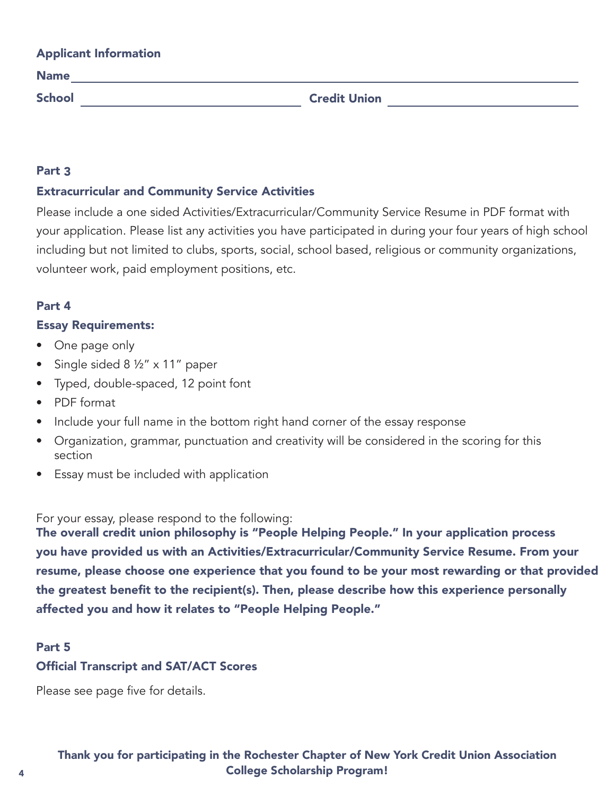| <b>Applicant Information</b> |                     |
|------------------------------|---------------------|
| <b>Name</b>                  |                     |
| <b>School</b>                | <b>Credit Union</b> |

## Part 3

## Extracurricular and Community Service Activities

Please include a one sided Activities/Extracurricular/Community Service Resume in PDF format with your application. Please list any activities you have participated in during your four years of high school including but not limited to clubs, sports, social, school based, religious or community organizations, volunteer work, paid employment positions, etc.

## Part 4

## Essay Requirements:

- One page only
- Single sided 8 1/2" x 11" paper
- Typed, double-spaced, 12 point font
- PDF format
- Include your full name in the bottom right hand corner of the essay response
- Organization, grammar, punctuation and creativity will be considered in the scoring for this section
- Essay must be included with application

For your essay, please respond to the following:

The overall credit union philosophy is "People Helping People." In your application process you have provided us with an Activities/Extracurricular/Community Service Resume. From your resume, please choose one experience that you found to be your most rewarding or that provided the greatest benefit to the recipient(s). Then, please describe how this experience personally affected you and how it relates to "People Helping People."

#### Part 5

## Official Transcript and SAT/ACT Scores

Please see page five for details.